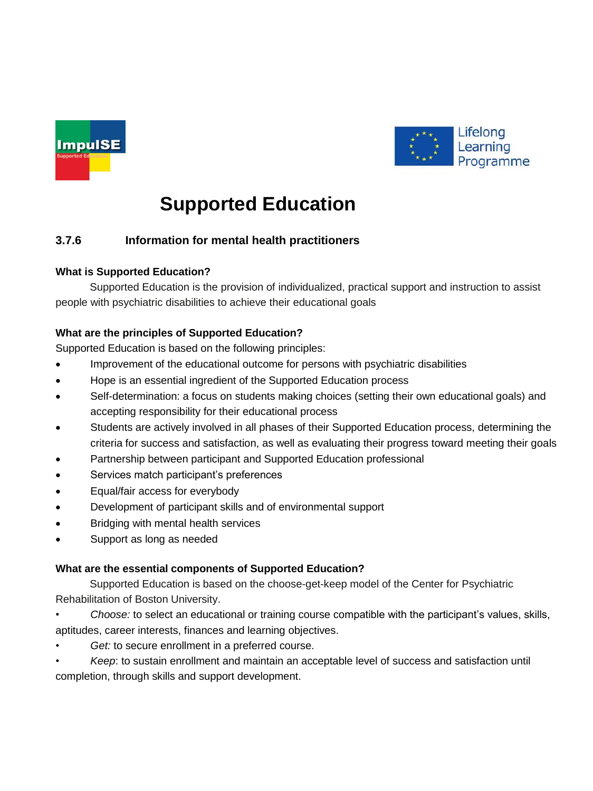



# **Supported Education**

## **3.7.6 Information for mental health practitioners**

### **What is Supported Education?**

Supported Education is the provision of individualized, practical support and instruction to assist people with psychiatric disabilities to achieve their educational goals

#### **What are the principles of Supported Education?**

Supported Education is based on the following principles:

- Improvement of the educational outcome for persons with psychiatric disabilities
- Hope is an essential ingredient of the Supported Education process
- Self-determination: a focus on students making choices (setting their own educational goals) and accepting responsibility for their educational process
- Students are actively involved in all phases of their Supported Education process, determining the criteria for success and satisfaction, as well as evaluating their progress toward meeting their goals
- Partnership between participant and Supported Education professional
- Services match participant's preferences
- Equal/fair access for everybody
- Development of participant skills and of environmental support
- Bridging with mental health services
- Support as long as needed

### **What are the essential components of Supported Education?**

Supported Education is based on the choose-get-keep model of the Center for Psychiatric Rehabilitation of Boston University.

- *Choose:* to select an educational or training course compatible with the participant's values, skills, aptitudes, career interests, finances and learning objectives.
- Get: to secure enrollment in a preferred course.
- *Keep*: to sustain enrollment and maintain an acceptable level of success and satisfaction until completion, through skills and support development.